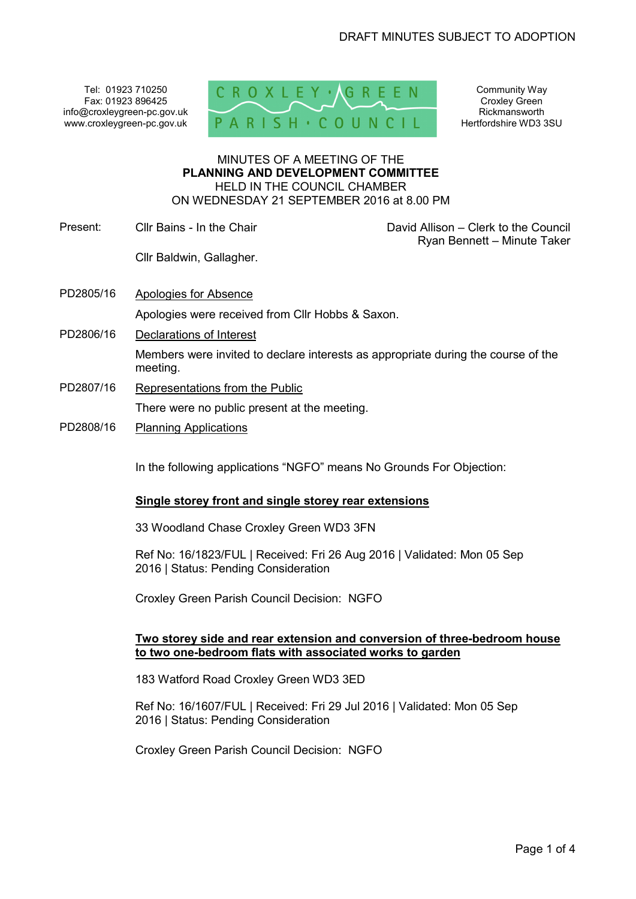Tel: 01923 710250 Fax: 01923 896425 info@croxleygreen-pc.gov.uk www.croxleygreen-pc.gov.uk



Community Way Croxley Green Rickmansworth Hertfordshire WD3 3SU

#### MINUTES OF A MEETING OF THE **PLANNING AND DEVELOPMENT COMMITTEE** HELD IN THE COUNCIL CHAMBER ON WEDNESDAY 21 SEPTEMBER 2016 at 8.00 PM

Present: Cllr Bains - In the Chair David Allison – Clerk to the Council

Ryan Bennett – Minute Taker

PD2805/16 Apologies for Absence

Cllr Baldwin, Gallagher.

Apologies were received from Cllr Hobbs & Saxon.

PD2806/16 Declarations of Interest

Members were invited to declare interests as appropriate during the course of the meeting.

- PD2807/16 Representations from the Public There were no public present at the meeting.
- PD2808/16 Planning Applications

In the following applications "NGFO" means No Grounds For Objection:

### **Single storey front and single storey rear extensions**

33 Woodland Chase Croxley Green WD3 3FN

Ref No: 16/1823/FUL | Received: Fri 26 Aug 2016 | Validated: Mon 05 Sep 2016 | Status: Pending Consideration

Croxley Green Parish Council Decision: NGFO

# **Two storey side and rear extension and conversion of three-bedroom house to two one-bedroom flats with associated works to garden**

183 Watford Road Croxley Green WD3 3ED

Ref No: 16/1607/FUL | Received: Fri 29 Jul 2016 | Validated: Mon 05 Sep 2016 | Status: Pending Consideration

Croxley Green Parish Council Decision: NGFO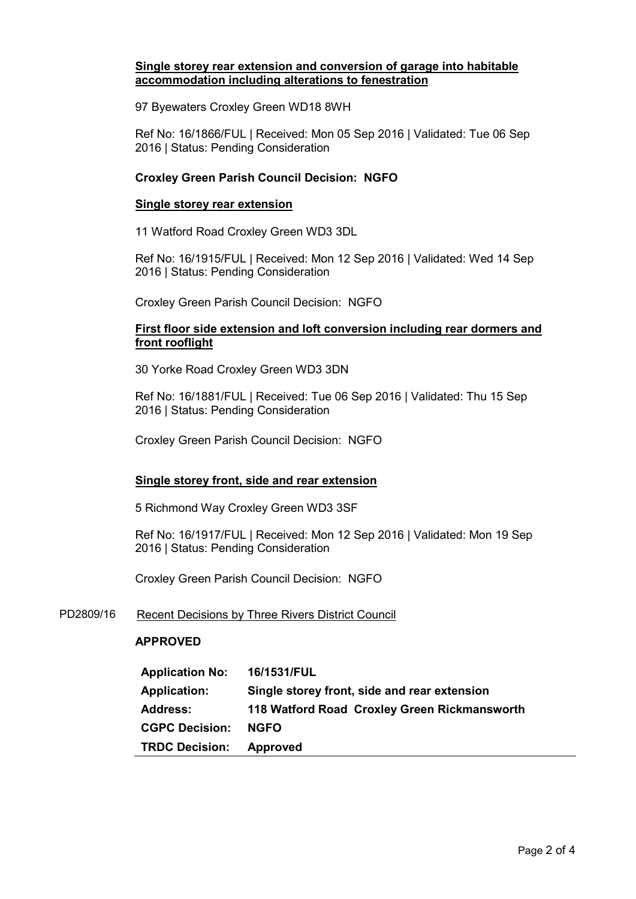# **Single storey rear extension and conversion of garage into habitable accommodation including alterations to fenestration**

97 Byewaters Croxley Green WD18 8WH

Ref No: 16/1866/FUL | Received: Mon 05 Sep 2016 | Validated: Tue 06 Sep 2016 | Status: Pending Consideration

# **Croxley Green Parish Council Decision: NGFO**

### **Single storey rear extension**

11 Watford Road Croxley Green WD3 3DL

Ref No: 16/1915/FUL | Received: Mon 12 Sep 2016 | Validated: Wed 14 Sep 2016 | Status: Pending Consideration

Croxley Green Parish Council Decision: NGFO

# **First floor side extension and loft conversion including rear dormers and front rooflight**

30 Yorke Road Croxley Green WD3 3DN

Ref No: 16/1881/FUL | Received: Tue 06 Sep 2016 | Validated: Thu 15 Sep 2016 | Status: Pending Consideration

Croxley Green Parish Council Decision: NGFO

### **Single storey front, side and rear extension**

5 Richmond Way Croxley Green WD3 3SF

Ref No: 16/1917/FUL | Received: Mon 12 Sep 2016 | Validated: Mon 19 Sep 2016 | Status: Pending Consideration

Croxley Green Parish Council Decision: NGFO

### PD2809/16 Recent Decisions by Three Rivers District Council

### **APPROVED**

| <b>Application No:</b> | 16/1531/FUL                                  |
|------------------------|----------------------------------------------|
| <b>Application:</b>    | Single storey front, side and rear extension |
| <b>Address:</b>        | 118 Watford Road Croxley Green Rickmansworth |
| <b>CGPC Decision:</b>  | <b>NGFO</b>                                  |
| <b>TRDC Decision:</b>  | <b>Approved</b>                              |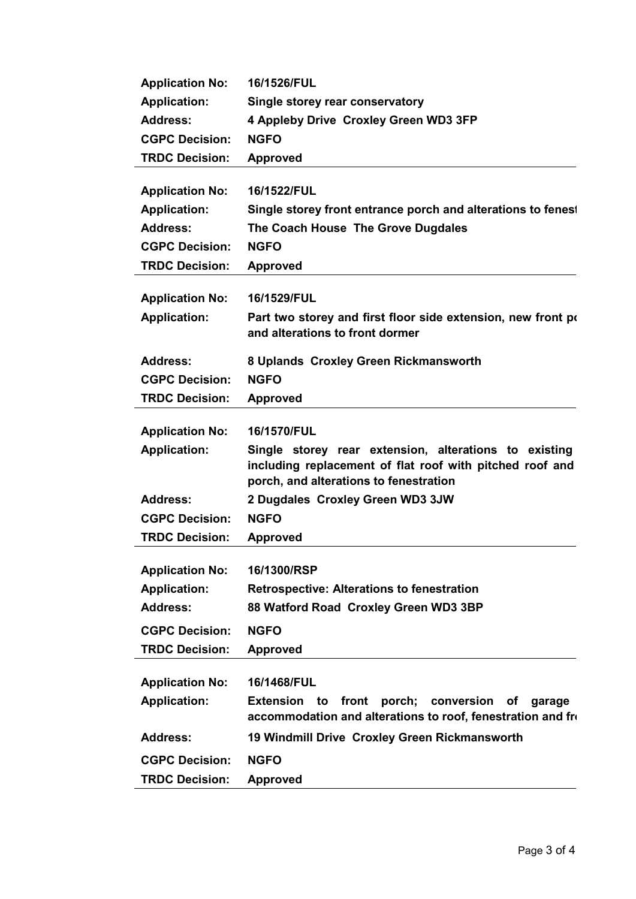| <b>Application No:</b> | 16/1526/FUL                                                                                                                                                 |
|------------------------|-------------------------------------------------------------------------------------------------------------------------------------------------------------|
| <b>Application:</b>    | Single storey rear conservatory                                                                                                                             |
| <b>Address:</b>        | 4 Appleby Drive Croxley Green WD3 3FP                                                                                                                       |
| <b>CGPC Decision:</b>  | <b>NGFO</b>                                                                                                                                                 |
| <b>TRDC Decision:</b>  | <b>Approved</b>                                                                                                                                             |
| <b>Application No:</b> | 16/1522/FUL                                                                                                                                                 |
| <b>Application:</b>    | Single storey front entrance porch and alterations to fenes                                                                                                 |
| <b>Address:</b>        | The Coach House The Grove Dugdales                                                                                                                          |
| <b>CGPC Decision:</b>  | <b>NGFO</b>                                                                                                                                                 |
| <b>TRDC Decision:</b>  | <b>Approved</b>                                                                                                                                             |
| <b>Application No:</b> | 16/1529/FUL                                                                                                                                                 |
| <b>Application:</b>    | Part two storey and first floor side extension, new front po<br>and alterations to front dormer                                                             |
| <b>Address:</b>        | 8 Uplands Croxley Green Rickmansworth                                                                                                                       |
| <b>CGPC Decision:</b>  | <b>NGFO</b>                                                                                                                                                 |
| <b>TRDC Decision:</b>  | <b>Approved</b>                                                                                                                                             |
| <b>Application No:</b> | 16/1570/FUL                                                                                                                                                 |
| <b>Application:</b>    | Single storey rear extension, alterations to existing<br>including replacement of flat roof with pitched roof and<br>porch, and alterations to fenestration |
| <b>Address:</b>        | 2 Dugdales Croxley Green WD3 3JW                                                                                                                            |
| <b>CGPC Decision:</b>  | <b>NGFO</b>                                                                                                                                                 |
| <b>TRDC Decision:</b>  | <b>Approved</b>                                                                                                                                             |
| <b>Application No:</b> | 16/1300/RSP                                                                                                                                                 |
| <b>Application:</b>    | <b>Retrospective: Alterations to fenestration</b>                                                                                                           |
| <b>Address:</b>        | 88 Watford Road Croxley Green WD3 3BP                                                                                                                       |
| <b>CGPC Decision:</b>  | <b>NGFO</b>                                                                                                                                                 |
| <b>TRDC Decision:</b>  | <b>Approved</b>                                                                                                                                             |
| <b>Application No:</b> | 16/1468/FUL                                                                                                                                                 |
| <b>Application:</b>    | Extension to front porch; conversion<br>of<br>garage<br>accommodation and alterations to roof, fenestration and fro                                         |
|                        |                                                                                                                                                             |
| <b>Address:</b>        | 19 Windmill Drive Croxley Green Rickmansworth                                                                                                               |
| <b>CGPC Decision:</b>  | <b>NGFO</b>                                                                                                                                                 |